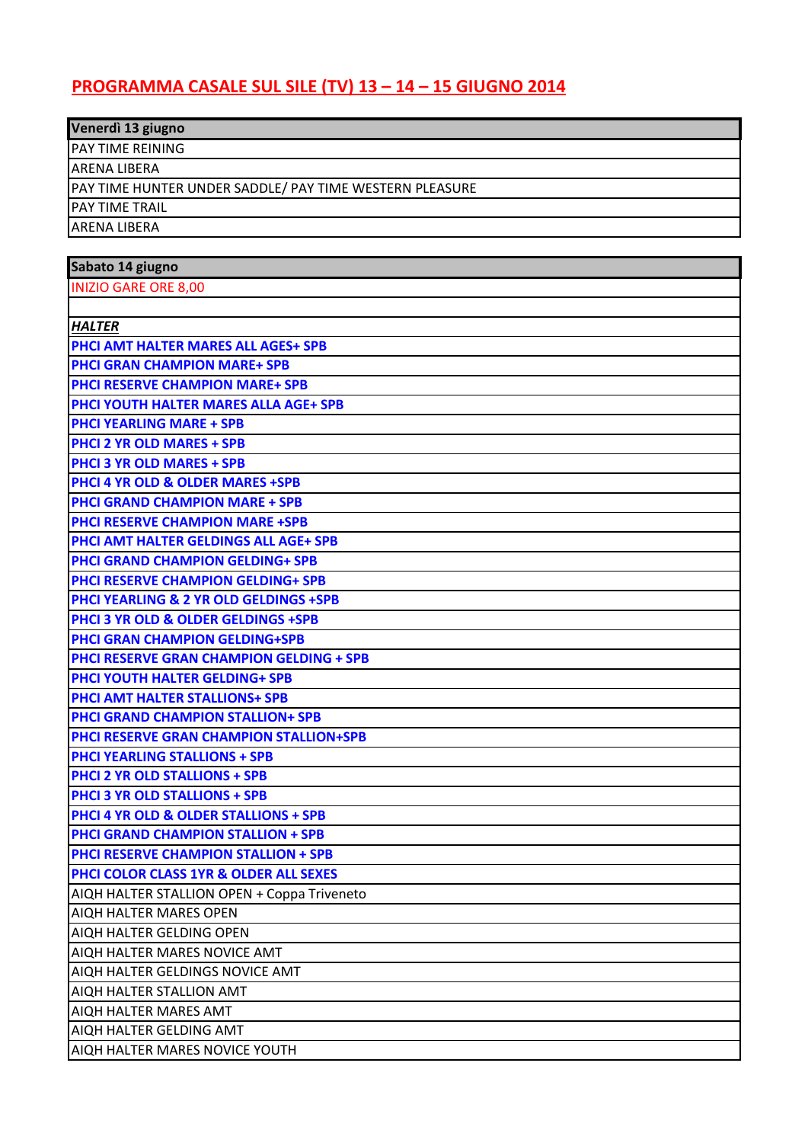## **PROGRAMMA CASALE SUL SILE (TV) 13 – 14 – 15 GIUGNO 2014**

| Venerdì 13 giugno                                       |  |
|---------------------------------------------------------|--|
| <b>JPAY TIME REINING</b>                                |  |
| IARENA LIBERA                                           |  |
| PAY TIME HUNTER UNDER SADDLE/ PAY TIME WESTERN PLEASURE |  |
| <b>IPAY TIME TRAIL</b>                                  |  |
| IARENA LIBERA                                           |  |

| Sabato 14 giugno                                 |
|--------------------------------------------------|
| <b>INIZIO GARE ORE 8,00</b>                      |
|                                                  |
| <b>HALTER</b>                                    |
| <b>PHCI AMT HALTER MARES ALL AGES+ SPB</b>       |
| <b>PHCI GRAN CHAMPION MARE+ SPB</b>              |
| <b>PHCI RESERVE CHAMPION MARE+ SPB</b>           |
| PHCI YOUTH HALTER MARES ALLA AGE+ SPB            |
| <b>PHCI YEARLING MARE + SPB</b>                  |
| <b>PHCI 2 YR OLD MARES + SPB</b>                 |
| <b>PHCI 3 YR OLD MARES + SPB</b>                 |
| <b>PHCI 4 YR OLD &amp; OLDER MARES +SPB</b>      |
| <b>PHCI GRAND CHAMPION MARE + SPB</b>            |
| <b>PHCI RESERVE CHAMPION MARE +SPB</b>           |
| PHCI AMT HALTER GELDINGS ALL AGE+ SPB            |
| <b>PHCI GRAND CHAMPION GELDING+ SPB</b>          |
| <b>PHCI RESERVE CHAMPION GELDING+ SPB</b>        |
| PHCI YEARLING & 2 YR OLD GELDINGS +SPB           |
| <b>PHCI 3 YR OLD &amp; OLDER GELDINGS +SPB</b>   |
| <b>PHCI GRAN CHAMPION GELDING+SPB</b>            |
| <b>PHCI RESERVE GRAN CHAMPION GELDING + SPB</b>  |
| <b>PHCI YOUTH HALTER GELDING+ SPB</b>            |
| <b>PHCI AMT HALTER STALLIONS+ SPB</b>            |
| <b>PHCI GRAND CHAMPION STALLION+ SPB</b>         |
| <b>PHCI RESERVE GRAN CHAMPION STALLION+SPB</b>   |
| <b>PHCI YEARLING STALLIONS + SPB</b>             |
| <b>PHCI 2 YR OLD STALLIONS + SPB</b>             |
| <b>PHCI 3 YR OLD STALLIONS + SPB</b>             |
| <b>PHCI 4 YR OLD &amp; OLDER STALLIONS + SPB</b> |
| <b>PHCI GRAND CHAMPION STALLION + SPB</b>        |
| <b>PHCI RESERVE CHAMPION STALLION + SPB</b>      |
| PHCI COLOR CLASS 1YR & OLDER ALL SEXES           |
| AIQH HALTER STALLION OPEN + Coppa Triveneto      |
| AIQH HALTER MARES OPEN                           |
| AIOU UIALTED CELDING ODEN.                       |

AIQH HALTER GELDING OPEN

AIQH HALTER MARES NOVICE AMT

AIQH HALTER GELDINGS NOVICE AMT AIQH HALTER STALLION AMT

AIQH HALTER MARES AMT

AIQH HALTER GELDING AMT

AIQH HALTER MARES NOVICE YOUTH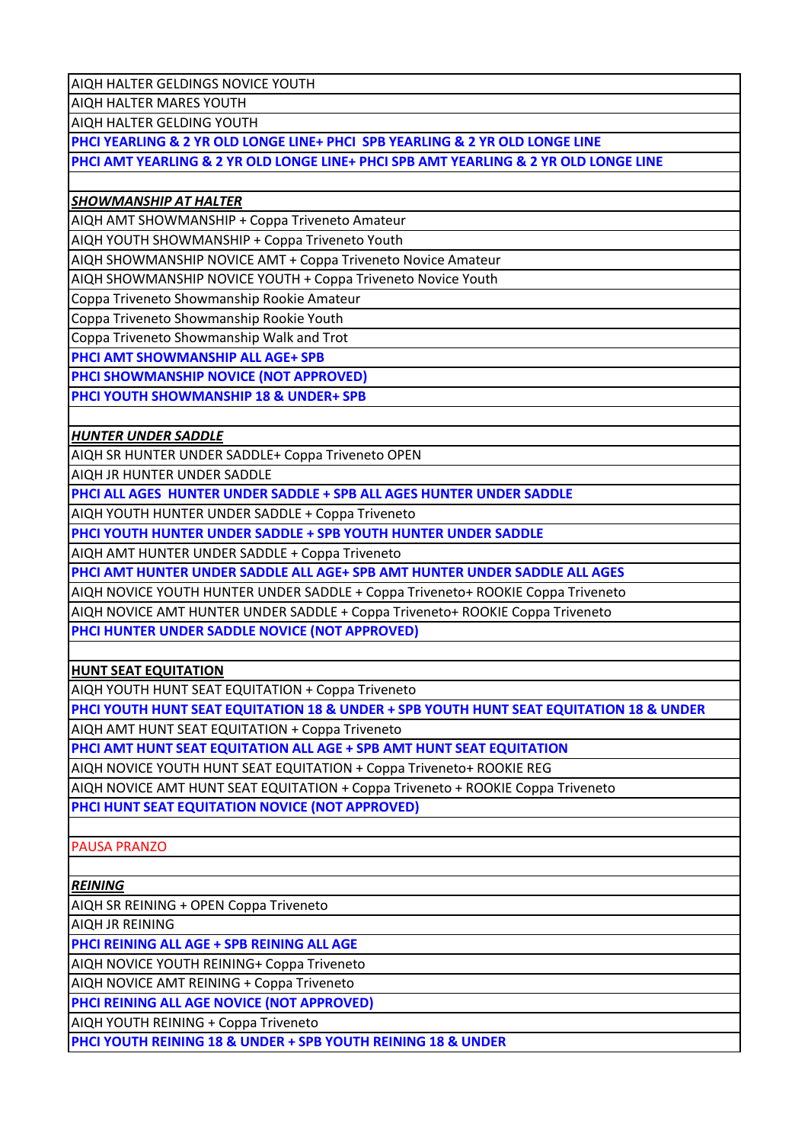AIQH HALTER GELDINGS NOVICE YOUTH

AIQH HALTER MARES YOUTH

AIQH HALTER GELDING YOUTH

**PHCI YEARLING & 2 YR OLD LONGE LINE+ PHCI SPB YEARLING & 2 YR OLD LONGE LINE**

**PHCI AMT YEARLING & 2 YR OLD LONGE LINE+ PHCI SPB AMT YEARLING & 2 YR OLD LONGE LINE**

## *SHOWMANSHIP AT HALTER*

AIQH AMT SHOWMANSHIP + Coppa Triveneto Amateur

AIQH YOUTH SHOWMANSHIP + Coppa Triveneto Youth

AIQH SHOWMANSHIP NOVICE AMT + Coppa Triveneto Novice Amateur

AIQH SHOWMANSHIP NOVICE YOUTH + Coppa Triveneto Novice Youth

Coppa Triveneto Showmanship Rookie Amateur

Coppa Triveneto Showmanship Rookie Youth

Coppa Triveneto Showmanship Walk and Trot

**PHCI AMT SHOWMANSHIP ALL AGE+ SPB**

**PHCI SHOWMANSHIP NOVICE (NOT APPROVED)**

**PHCI YOUTH SHOWMANSHIP 18 & UNDER+ SPB**

## *HUNTER UNDER SADDLE*

AIQH SR HUNTER UNDER SADDLE+ Coppa Triveneto OPEN

AIQH JR HUNTER UNDER SADDLE

**PHCI ALL AGES HUNTER UNDER SADDLE + SPB ALL AGES HUNTER UNDER SADDLE**

AIQH YOUTH HUNTER UNDER SADDLE + Coppa Triveneto

**PHCI YOUTH HUNTER UNDER SADDLE + SPB YOUTH HUNTER UNDER SADDLE**

AIQH AMT HUNTER UNDER SADDLE + Coppa Triveneto

**PHCI AMT HUNTER UNDER SADDLE ALL AGE+ SPB AMT HUNTER UNDER SADDLE ALL AGES**

AIQH NOVICE YOUTH HUNTER UNDER SADDLE + Coppa Triveneto+ ROOKIE Coppa Triveneto

AIQH NOVICE AMT HUNTER UNDER SADDLE + Coppa Triveneto+ ROOKIE Coppa Triveneto

**PHCI HUNTER UNDER SADDLE NOVICE (NOT APPROVED)**

**HUNT SEAT EQUITATION**

AIQH YOUTH HUNT SEAT EQUITATION + Coppa Triveneto

**PHCI YOUTH HUNT SEAT EQUITATION 18 & UNDER + SPB YOUTH HUNT SEAT EQUITATION 18 & UNDER**

AIQH AMT HUNT SEAT EQUITATION + Coppa Triveneto

**PHCI AMT HUNT SEAT EQUITATION ALL AGE + SPB AMT HUNT SEAT EQUITATION**

AIQH NOVICE YOUTH HUNT SEAT EQUITATION + Coppa Triveneto+ ROOKIE REG

AIQH NOVICE AMT HUNT SEAT EQUITATION + Coppa Triveneto + ROOKIE Coppa Triveneto **PHCI HUNT SEAT EQUITATION NOVICE (NOT APPROVED)**

PAUSA PRANZO

*REINING*

AIQH SR REINING + OPEN Coppa Triveneto

AIQH JR REINING

**PHCI REINING ALL AGE + SPB REINING ALL AGE**

AIQH NOVICE YOUTH REINING+ Coppa Triveneto

AIQH NOVICE AMT REINING + Coppa Triveneto

**PHCI REINING ALL AGE NOVICE (NOT APPROVED)**

AIQH YOUTH REINING + Coppa Triveneto

**PHCI YOUTH REINING 18 & UNDER + SPB YOUTH REINING 18 & UNDER**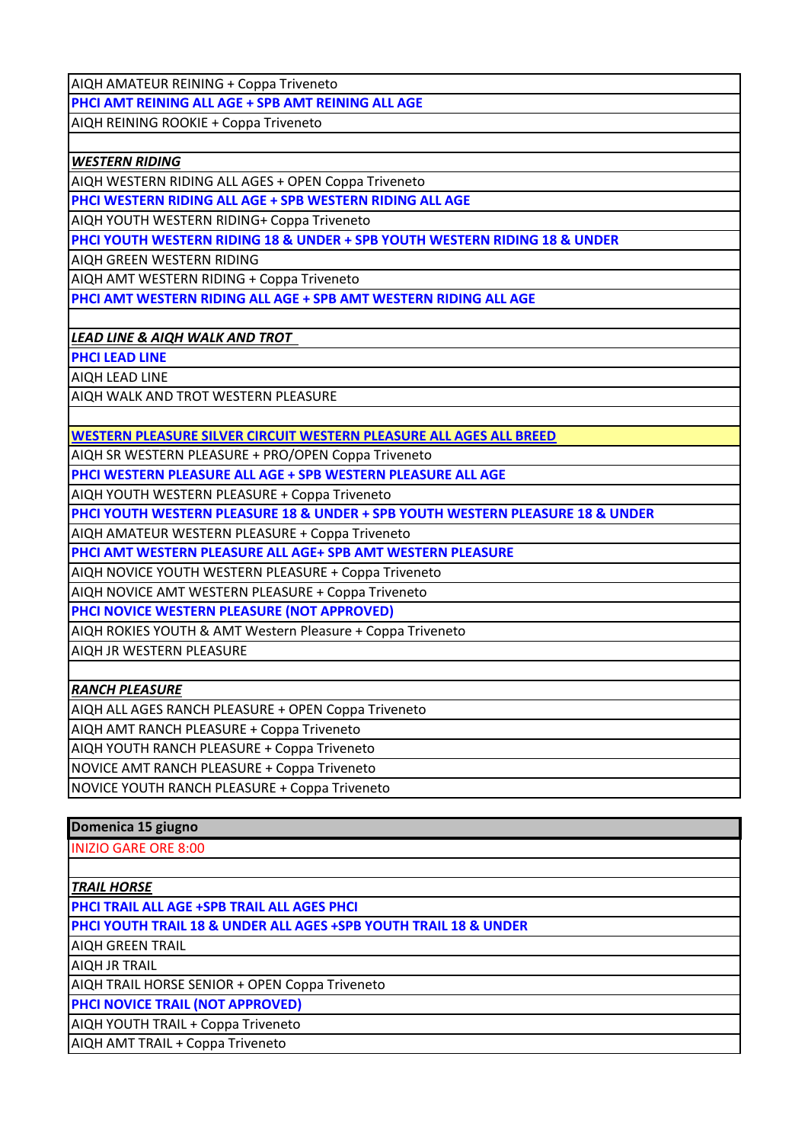AIQH AMATEUR REINING + Coppa Triveneto

**PHCI AMT REINING ALL AGE + SPB AMT REINING ALL AGE**

AIQH REINING ROOKIE + Coppa Triveneto

## *WESTERN RIDING*

AIQH WESTERN RIDING ALL AGES + OPEN Coppa Triveneto

**PHCI WESTERN RIDING ALL AGE + SPB WESTERN RIDING ALL AGE**

AIQH YOUTH WESTERN RIDING+ Coppa Triveneto

**PHCI YOUTH WESTERN RIDING 18 & UNDER + SPB YOUTH WESTERN RIDING 18 & UNDER**

AIQH GREEN WESTERN RIDING

AIQH AMT WESTERN RIDING + Coppa Triveneto

**PHCI AMT WESTERN RIDING ALL AGE + SPB AMT WESTERN RIDING ALL AGE**

*LEAD LINE & AIQH WALK AND TROT* 

**PHCI LEAD LINE**

AIQH LEAD LINE

AIQH WALK AND TROT WESTERN PLEASURE

**WESTERN PLEASURE SILVER CIRCUIT WESTERN PLEASURE ALL AGES ALL BREED**

AIQH SR WESTERN PLEASURE + PRO/OPEN Coppa Triveneto

**PHCI WESTERN PLEASURE ALL AGE + SPB WESTERN PLEASURE ALL AGE**

AIQH YOUTH WESTERN PLEASURE + Coppa Triveneto

**PHCI YOUTH WESTERN PLEASURE 18 & UNDER + SPB YOUTH WESTERN PLEASURE 18 & UNDER**

AIQH AMATEUR WESTERN PLEASURE + Coppa Triveneto

**PHCI AMT WESTERN PLEASURE ALL AGE+ SPB AMT WESTERN PLEASURE**

AIQH NOVICE YOUTH WESTERN PLEASURE + Coppa Triveneto

AIQH NOVICE AMT WESTERN PLEASURE + Coppa Triveneto

**PHCI NOVICE WESTERN PLEASURE (NOT APPROVED)**

AIQH ROKIES YOUTH & AMT Western Pleasure + Coppa Triveneto

AIQH JR WESTERN PLEASURE

*RANCH PLEASURE*

AIQH ALL AGES RANCH PLEASURE + OPEN Coppa Triveneto

AIQH AMT RANCH PLEASURE + Coppa Triveneto

AIQH YOUTH RANCH PLEASURE + Coppa Triveneto

NOVICE AMT RANCH PLEASURE + Coppa Triveneto

NOVICE YOUTH RANCH PLEASURE + Coppa Triveneto

| Domenica 15 giugno                                               |
|------------------------------------------------------------------|
| <b>INIZIO GARE ORE 8:00</b>                                      |
|                                                                  |
| <b>TRAIL HORSE</b>                                               |
| PHCI TRAIL ALL AGE +SPB TRAIL ALL AGES PHCI                      |
| PHCI YOUTH TRAIL 18 & UNDER ALL AGES +SPB YOUTH TRAIL 18 & UNDER |
| <b>AIQH GREEN TRAIL</b>                                          |
| <b>AIQH JR TRAIL</b>                                             |
| AIQH TRAIL HORSE SENIOR + OPEN Coppa Triveneto                   |
| PHCI NOVICE TRAIL (NOT APPROVED)                                 |
| AIQH YOUTH TRAIL + Coppa Triveneto                               |
| AIQH AMT TRAIL + Coppa Triveneto                                 |